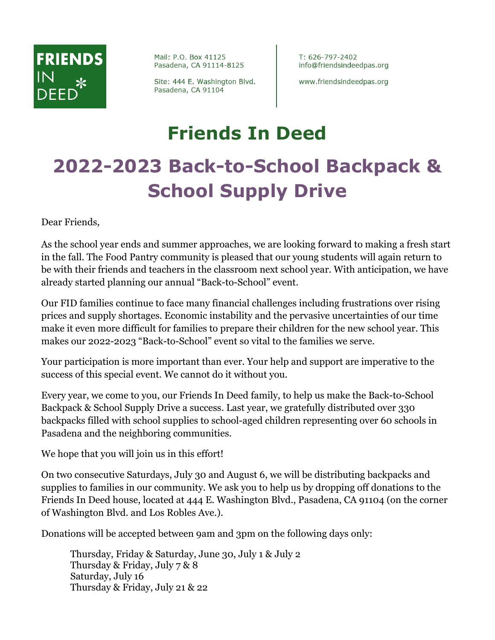# **FRIENDS**

Mail: P.O. Box 41125 Pasadena, CA 91114-8125

Site: 444 E. Washington Blvd. Pasadena, CA 91104

T: 626-797-2402 info@friendsindeedpas.org

www.friendsindeedpas.org

### **Friends In Deed 2022-2023 Back-to-School Backpack & School Supply Drive**

Dear Friends,

As the school year ends and summer approaches, we are looking forward to making a fresh start in the fall. The Food Pantry community is pleased that our young students will again return to be with their friends and teachers in the classroom next school year. With anticipation, we have already started planning our annual "Back-to-School" event.

Our FID families continue to face many financial challenges including frustrations over rising prices and supply shortages. Economic instability and the pervasive uncertainties of our time make it even more difficult for families to prepare their children for the new school year. This makes our 2022-2023 "Back-to-School" event so vital to the families we serve.

Your participation is more important than ever. Your help and support are imperative to the success of this special event. We cannot do it without you.

Every year, we come to you, our Friends In Deed family, to help us make the Back-to-School Backpack & School Supply Drive a success. Last year, we gratefully distributed over 330 backpacks filled with school supplies to school-aged children representing over 60 schools in Pasadena and the neighboring communities.

We hope that you will join us in this effort!

On two consecutive Saturdays, July 30 and August 6, we will be distributing backpacks and supplies to families in our community. We ask you to help us by dropping off donations to the Friends In Deed house, located at 444 E. Washington Blvd., Pasadena, CA 91104 (on the corner of Washington Blvd. and Los Robles Ave.).

Donations will be accepted between 9am and 3pm on the following days only:

Thursday, Friday & Saturday, June 30, July 1 & July 2 Thursday & Friday, July 7 & 8 Saturday, July 16 Thursday & Friday, July 21 & 22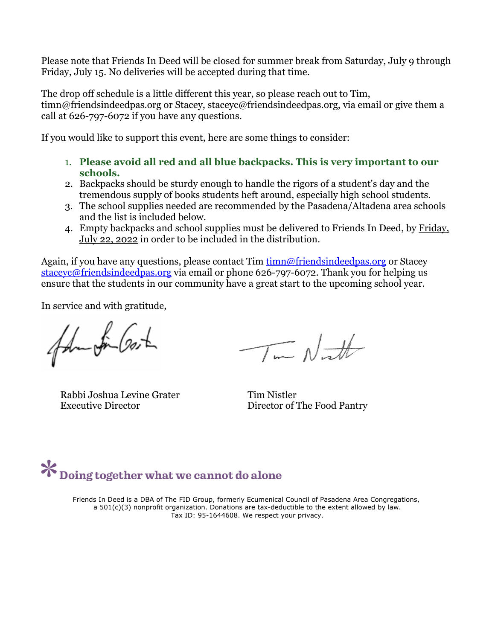Please note that Friends In Deed will be closed for summer break from Saturday, July 9 through Friday, July 15. No deliveries will be accepted during that time.

The drop off schedule is a little different this year, so please reach out to Tim, timn@friendsindeedpas.org or Stacey, staceyc@friendsindeedpas.org, via email or give them a call at 626-797-6072 if you have any questions.

If you would like to support this event, here are some things to consider:

- 1. **Please avoid all red and all blue backpacks. This is very important to our schools.**
- 2. Backpacks should be sturdy enough to handle the rigors of a student's day and the tremendous supply of books students heft around, especially high school students.
- 3. The school supplies needed are recommended by the Pasadena/Altadena area schools and the list is included below.
- 4. Empty backpacks and school supplies must be delivered to Friends In Deed, by Friday, July 22, 2022 in order to be included in the distribution.

Again, if you have any questions, please contact Tim timn@friendsindeedpas.org or Stacey staceyc@friendsindeedpas.org via email or phone 626-797-6072. Thank you for helping us ensure that the students in our community have a great start to the upcoming school year.

In service and with gratitude,

falm fin Gost

Rabbi Joshua Levine Grater Tim Nistler

 $\overline{\mathcal{I}}$  on  $\mathcal{N}$  and  $\mathcal{N}$ 

Executive Director Director Director Director of The Food Pantry

## $\mathbf{\mathcal{X}}$  Doing together what we cannot do alone

Friends In Deed is a DBA of The FID Group, formerly Ecumenical Council of Pasadena Area Congregations, a 501(c)(3) nonprofit organization. Donations are tax-deductible to the extent allowed by law. Tax ID: 95-1644608. We respect your privacy.